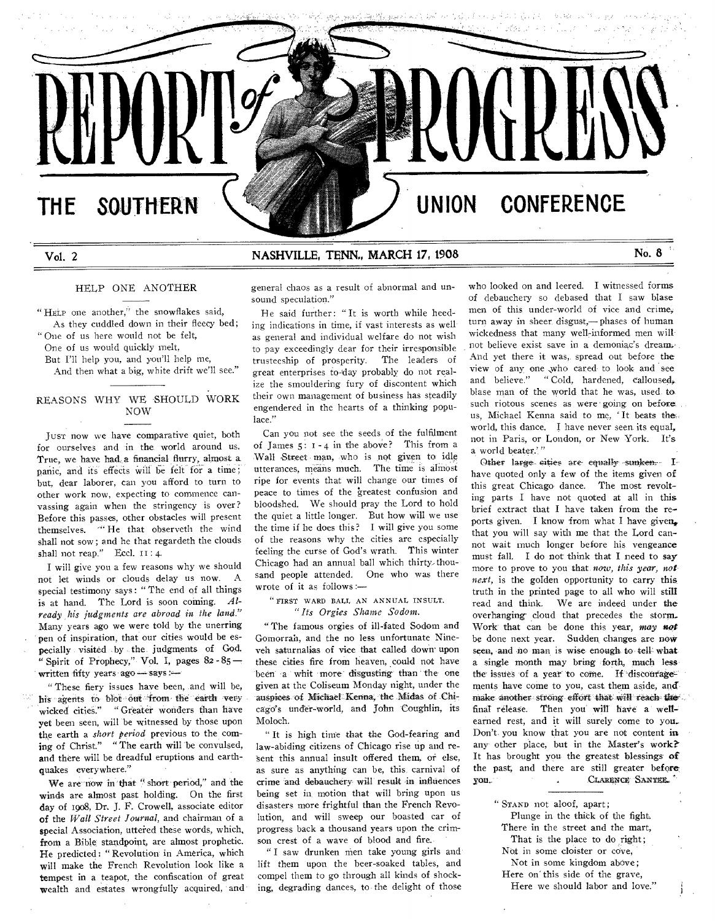# THE SOUTHERN  $\setminus$  **We have a set of the UNION CONFERENCE**

# Vol. 2 **NASHVILLE, TENN., MARCH 17, 1908** No. 8

HELP ONE ANOTHER

" HELP one another," the snowflakes said, As they cuddled down in their fleecy bed; " One of us here would not be felt,

One of us would quickly melt,

But I'll help you, and you'll help me,

And then what a big, white drift we'll see."

# REASONS WHY WE SHOULD WORK NOW

JUST now we have comparative quiet, both for ourselves and in the world around us. True, we have had,a financial flurry, almost a panic, and its effects will be felt for a time; but, dear laborer, can you afford to turn to other work now, expecting to commence canvassing again when the stringency is over? Before this passes, other obstacles will present themselves. <sup>"</sup>He that observeth the wind shall not sow; and he that regardeth the clouds shall not reap." Eccl.  $II:4$ .

I will give you a few reasons why we should not let winds or clouds delay us now. A special testimony says: " The end of all things is at hand. The Lord is soon coming. Al*ready his judgments are abroad in the land."*  Many years ago we were told by the unerring pen of inspiration, that our cities would be especially visited by the judgments of God. " Spirit of Prophecy," Vol. I, pages  $82 - 85$  – written fifty years ago  $-$  says : $-$ 

These fiery issues have been, and will be, his agents to blot out from the earth very wicked cities." "Greater wonders than have yet been seen, will be witnessed by those upon the earth a *short period* previous to the coming of Christ." "The earth will be convulsed, and there will be dreadful eruptions and earthquakes everywhere."

We are now in that " short period," and the winds are almost past holding. On the first day of 1908, Dr. J. F. Crowell, associate editor of the *Wall Street Journal,* and chairman of a special Association, uttered these words, which, from a Bible standpoint, are almost prophetic. He predicted: " Revolution. in America, which will make the French Revolution look like a tempest in a teapot, the confiscation of great wealth and estates wrongfully acquired, and

general chaos as *a* result of abnormal and unsound speculation."

He said further: "It is worth while heeding indications in time, if vast interests as well as general and individual welfare do not wish to pay exceedingly dear for their irresponsible trusteeship of prosperity. The leaders of great enterprises to-day probably do not realize the smouldering fury of discontent which their own management of business has steadily engendered in the hearts of a thinking populace."

Can you not see the seeds of the fulfilment of James  $5: 1 - 4$  in the above? This from a Wall Street man, who is not given to idle utterances, means much. The time is almost ripe for events that will change our times of peace to times of the greatest confusion and bloodshed. We should pray the Lord to hold the quiet a little longer. But how will we use the time if he does this? I will give you some of the reasons why the cities are especially feeling the curse of God's wrath. This winter Chicago had an annual ball which thirty-thousand people attended. One who was there wrote of it as follows :—

" FIRST WARD BALL AN ANNUAL INSULT. *" Its Orgies Shame Sodom.* 

" The famous orgies of ill-fated Sodom and Gomorrah, and the no less unfortunate Nineveh saturnalias of vice that called down upon these cities fire from heaven, could not have been -a whit more' disgusting' than the one given at the Coliseum Monday night, under the auspices of Michael Kenna, the Midas of Chicago's under-world, and John Coughlin, its Moloch.

" It is high time that the God-fearing and law-abiding citizens of Chicago rise up and re- 'sent this annual insult offered them, or else, as sure as anything can be, this, carnival of crime and debauchery will result in influences being set in motion that will bring upon us disasters more frightful than the French Revolution, and will sweep our boasted car of progress back a thousand years upon the crimson crest of a wave of blood and fire.

" I saw drunken men take young girls and lift them upon the beer-soaked tables, and compel them to go through all kinds of shocking, degrading dances, to the delight of those

who looked on and leered. I witnessed forms of debauchery so debased that I saw blase men of this under-world of vice and crime; turn away in sheer, disgust,— phases of human wickedness that many well-informed men willnot believe exist save in a demoniac's dream. And yet there it was, spread out before the view of any one ,who cared to look and see and believe." "Cold, hardened, calloused, blase man of the world that he was, used to such riotous scenes as were' going on before. us, Michael Kenna said to me, ' It beats the, world, this dance. I have never seen its equal, not in Paris, or London, or New York. It's a world beater."

Other large cities are equally sunken, Ihave quoted only a few of the items given of this great Chicago dance. The most revolting parts I have not quoted at all in this brief extract that I have taken from the reports given. I know from what I have given. that you will say with me that the Lord cannot wait much longer before his vengeance must fall. I do not think that I need to say more to prove to you that *now, this year, not next,* is the golden opportunity to carry this truth in the printed page to all who will stilt read and think. We are indeed under the overhanging' cloud that precedes the storm\_ Work' that can be done this year, *may not*  be done next year. Sudden changes are now seen, and no man is wise enough to tell what a single month may bring forth, much less the issues of a year to come. If discouragements have come to you, cast them aside, and make another strong effort that will reach the final release. Then you will haVe a' wellearned rest, and it will surely come to you.. Don't. you know that you are not content in any other place, but in the Master's work? It has brought you the greatest blessings of the past, and there are still greater before, you..- .CLAapTc.g"SANTE.E.,

" STAND not aloof, apart;

Plunge in the thick of the fight. There in the street and the mart,

That is the place to do right; Not in some cloister or cove,

Not in some kingdom above;

Here on" this side of the grave,

Here we should labor and love."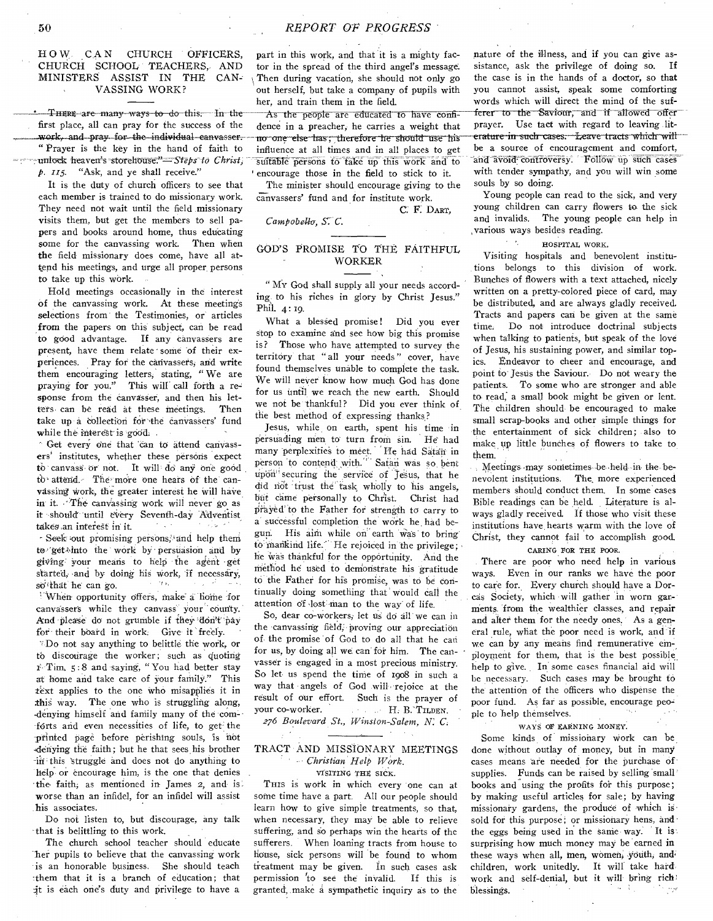# HOW CAN CHURCH OFFICERS, CHURCH SCHOOL TEACHERS, AND MINISTERS ASSIST IN THE CAN-VASSING WORK?

• THERE are many ways to do this. In the first place, all can pray for the success of the work, and pray for the individual canvasser. " Prayer is the key in the hand of faith to unlock heaven's storehouse."-Steps to Christ, *p. 115.* "Ask, and ye shall receive."

It is the duty of church officers to see that each member is trained to do missionary work. They need not wait until the field missionary visits them, but get the members to sell papers and books around home, thus educating some for the canvassing work. Then when the field missionary does come, have all attend his meetings, and urge all proper\_ persons to take up this work.

Hold meetings occasionally in the interest of the canvassing work. At these meetings selections from the Testimonies, or articles from the papers on this subject, can be read to good advantage. If any canvassers are present, have them relate some of their experiences. Pray fot the canvassers; and write them encouraging letters; stating, " We are praying for you." This will call forth a response from the canvasser, and then his letters can be read at these meetings. Then take up- a collection for'the canvassers' fund while the interest is good.

- Get every one that 'can to attend canvassers' institutes, whether these persons 'expect canvass or not. It will' do any one good to attend. The more one hears of the canvassing work, the greater interest he will have in it. The canvassing work will never go as it should until every Seventh-day Adventist<br>takes an interest in it takes an interest in it. - Seek out promising persons, and help them to-'get into the work by persuasion and by giving' Your means to help the agent -get

<sup>1</sup> When opportunity offers, make a home for canvassers while they canvass your county. started, and by doing his work, if necessary, so that he can go.

And please do not grumble if they don't pay for their board in work. Give it freely. Do not say anything to belittle the work, or

to discourage the worker; such as quoting t-Tim. 5:8 and saying, " You had better stay at home and take care of your family." This text applies to the one who misapplies it in this way. The one who is struggling along, denying himself and family many of the com--forts arid even necessities of life, to get- the printed page before perishing souls, is not 'denying the faith; but he that sees, his brother this 'struggle and does not do anything to help or encourage him, is the one that denies the faith; as mentioned in James 2, and is. worse than an infidel, for an infidel will assist his associates.

Do not listen to, but discourage, any talk that is belittling to this work.

The church school teacher should educate her pupils to believe that the canvassing work is an honorable business. She should teach :them that it is a branch of education; that it is each one's duty and privilege to have a

part in this work, and that it is a mighty factor in the spread of the third angel's message. Then during vacation, she should not only go out herself, but take a company of pupils with her, and train them in the field.

As the people are educated to have confidence in a preacher, he carries a weight that no one else has, therefore he should use his influence at all times and in all places to get suitable persons to take up this work and to ' encourage those in the field to stick to it.

The minister should encourage giving to the canvassers' fund and for institute work.

*Campobello, S C.* 

C F. DART,

# GOD'S PROMISE TO THE FAITHFUL WORKER

" MV God shall supply all your needs according.to his riches in glory by Christ Jesus." Phil. 4: 19.

What a blessed promise! Did you ever stop to examine and see how big this promise is? Those who have attempted to survey the territory that " all your needs" cover, have found themselves unable to complete the task. We will never know how much God has done for us until we reach the new earth. Should we not be-thankful? Did you ever think of the best method of expressing thanks,?

Jesus, while on earth, spent his time in persuading men to turn from sin. He had many perplexities to meet. He had Satan in person to contend with." Satan was so bent upon<sup>11</sup> securing the service of Jesus, that he did not 'trust the'task wholly to his angels, but came personally to Christ. Christ had prayed' to the Father for strength to carry to a successful completion the work he. had begun. His aim while on earth was to bring to mankind life. He rejoiced in the privilege; he was thankful for the opportunity. And the method he used to demonstrate his gratitude to the Father for his promise, was to be continually doing something that' would Call the attention of lost man to the way of life.

So, dear co-workers, let us do all we can in the canvassing field, proving our appreciation of the promise of God to do all that he can for us, by doing all we can' for him. The canvasser is engaged in a most precious ministry. So let us spend the time of 1908 in such a way that angels of God will rejoice at the result of Our effort. Such is the prayer of your co-worker. H. B. TILDEN.

*276 Boulevard St., Winston-Salem, N:* 

# TRACT AND MISSIONARY MEETINGS *Christian Help WOrk.*

*v*fsiting **THE** SICK.

THIS is work in which every one can at some time have a part. All our people should learn how to give simple treatments, so that, when necessary, they may be able to relieve suffering, and so perhaps win the hearts of the sufferers. When loaning tracts from house to House, sick persons will be found to whom treatment may be given. In such cases ask permission 'to see the invalid. If this is granted, make a sympathetic inquiry as to the

nature of the illness, and if you can give assistance, ask the privilege of doing so. If the case is in the hands of a doctor, so that you cannot assist, speak some comforting words which will direct the mind of the suf ferer to the Saviour, and if allowed offer prayer. Use tact with regard to leaving literature in such cases. Leave tracts which will be a source of encouragement and comfort, and avoid controversy. Follow up such cases with tender sympathy, and you will win some souls by so doing.

Young people can read to the sick, and very young children can carry flowers to the sick and invalids. The young people can help in various ways besides reading.

#### HOSPITAL WORK.

 $\epsilon=\epsilon_{\rm s}$ 

Visiting hospitals and benevolent institutions belongs to this division of work. Bunches of flowers with a text attached, nicely written on a pretty-colored piece of card, may be distributed, and are always gladly received. Tracts and papers can be given at the same time: Do not introduce doctrinal subjects when talking to patients, but speak of the love of Jesus, his sustaining power, and similar topics. Endeavor to cheer and encourage, and point to-Jesus the Saviour. Do not weary the patients. To some who are stronger and able to- read; a small book might be given or lent. The children should, be encouraged to make small scrap-books and other simple things for the entertainment of sick children; also to make up little bunches of flowers to take to them.

Meetings may sometimes be held in the benevolent institutions. The, more experienced members should conduct them. In some'cases Bible readings can be held. \_ Literature is always gladly received. If those who visit these institutions have, hearts warm with the love of Christ, they cannot fail to accomplish good. CARING FOR THE POOR.

There are poor who need help in various ways. Even in our ranks we have the poor to care for. Every church should have a Dorcas Society, which will gather in worn garments. from the wealthier classes, and repair and alter them for the needy ones. As a general rule, what the poor need is work, and 'if we can by any means find remunerative ployment for them, that is the best possible help to give. In some cases financial aid will be necessary. Such cases may be brought to the attention of the officers who dispense the poor fund. As far as possible, encourage peopie to help themselves.

WAYS OF EARNING MONEY.

Some kinds of missionary work can be done without outlay of money, but in many cases means are needed for the purchase of supplies. Funds can be raised by selling small books and using the profits for this purpose; by making useful articles for sale; by having missionary gardens, the produce of which is sold for this purpose; or missionary hens, and the eggs being used in the same way. It is surprising how much money may be 'earned in these ways when all, men, women, youth, and children, work unitedly. It will take hard work and self-denial, but it will' bring rich blessings.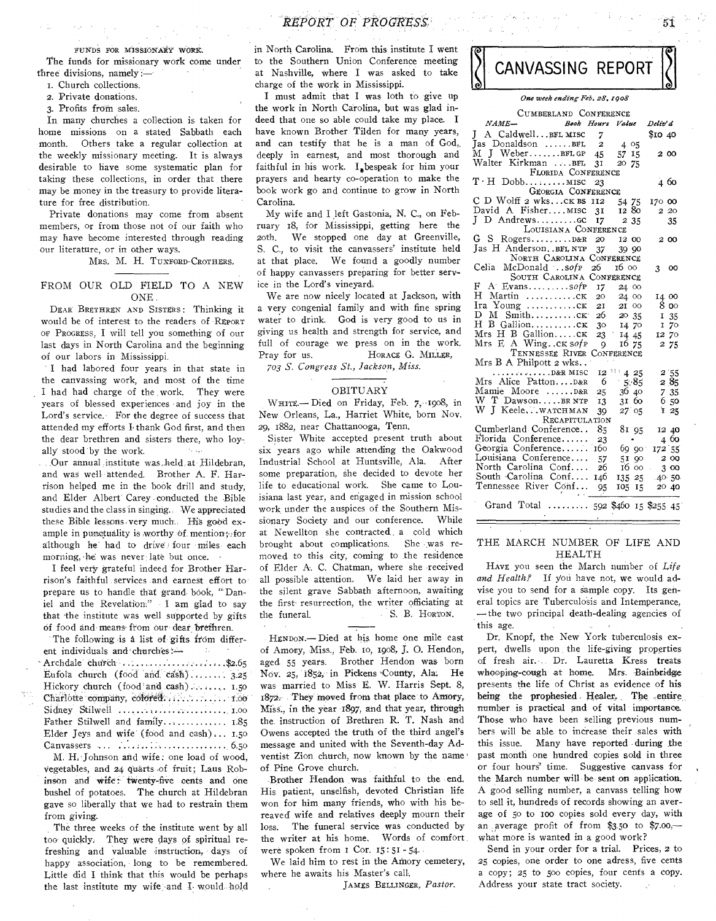#### FUNDS FOR MISSIONARY WORK.

The funds for missionary work come under three divisions, namely :—

- I. Church collections.
- 2. Private donations.
- 3. Profits from sales.

In many churches a collection is taken for home missions on a stated Sabbath each month. Others take a regular collection at the weekly missionary meeting. It is always desirable to have some systematic plan for taking these collections, in order that there may be money in the treasury to provide literature for free distribution.

Private donations may come from absent members, or from those not of our faith who may have become interested through reading our literature, or in other ways.

MRS. M. H. TUXFORD-CROTHERS.

#### FROM OUR OLD FIELD TO A NEW ONE.

DEAR BRETHREN AND SISTERS : Thinking it would be of interest to the readers of REPORT or PROGRESS, I will tell you something of our last days in North Carolina and the beginning of our labors in Mississippi.

I had labored four years in that state in the canvassing work, and most of the time I had had charge of the work. They were years of blessed experiences and joy in the Lord's service. For the degree of success that attended my efforts I thank God first, and then the dear brethren and sisters there, who loyally stood by the work. August 2

...Our annual institute was held at Hildebran, and was well 'attended. Brother A. F. Harrison helped me in the book drill and study, and Elder Albert' Carey - conducted the Bible studies and the class in singing., We appreciated these Bible lessons-very much., His good example in punctuality is worthy of mention; for although he' had to drive) four miles each morning, he was never late but once.

I feel very grateful indeed for Brother Harrison's faithful services and earnest effort to prepare us to handle that grand book, "Daniel and the Revelation:" I am glad to say that the institute was well supported by gifts Of food and means from Our' dear brethren.

The following is a list of gifts from different individuals and churches

| Archdale church $\ldots, \ldots, \ldots, \ldots, \ldots, \ldots,$         |  |
|---------------------------------------------------------------------------|--|
| Eufola church (food and cash) $3.25$                                      |  |
| Hickory church (food and cash) $1.50$                                     |  |
|                                                                           |  |
| Sidney Stilwell $\ldots \ldots \ldots \ldots \ldots \ldots \ldots \ldots$ |  |
| Father Stilwell and family $1.85$                                         |  |
| Elder Jeys and wife (food and cash) $1.50$                                |  |
|                                                                           |  |

M. H. Johnson and wife: one load of wood, Vegetables, and 24 quarts of fruit; Laus Robinson and Wife: twenty-five cents and one bushel of potatoes. The church at Hildebran gave so liberally that we had to restrain them from giving.

The three weeks of the institute went by all too' quickly, They were days of spiritual refreshing and valuable instruction; days of happy association, long to be remembered. Little did I think that this would be perhaps the last institute my wife and I would hold *REPORT OF PROGRtSS,'* 5i,

in North Carolina. From this institute I went to the Southern Union Conference meeting at Nashville, where I was asked to take charge of the work in Mississippi.

I must admit that I was loth to give up the work in North Carolina, but was glad indeed that one so able could take my place. I have known Brother Tilden for many years, and can testify that he is a man of God,. deeply in earnest, and most thorough and faithful in his work.  $I_{\ast}$  bespeak for him your prayers and hearty co-operation to make the book work go and continue to grow in North Carolina.

My wife and I left Gastonia, N. C., on February 18, for Mississippi, getting here the 20th. We stopped one day at Greenville, S. C., to visit the canvassers' institute held at that place. We found a goodly number of happy canvassers preparing for better service in the Lord's vineyard.

We are now nicely located at Jackson, with a very congenial family and with fine spring water to drink. God is very good to us in giving us health and strength for service, and full of courage we press on in the work. Pray for us. HORACE G. MILLER,

*703 S. Congress St., Jackson, Miss.* 

#### OBITUARY

WHITE.- Died on Friday, Feb. 7, 1908, in New Orleans, La., Harriet White, born Nov. 29, 1882, near Chattanooga, Tenn.

Sister White accepted present truth about six years ago while attending the Oakwood Industrial School at Huntsville, Ala. After some preparation, she decided to devote her life to educational work. She came to Louisiana last year, and engaged in mission school work, under the auspices of the Southern Missionary Society and our conference. While at Newellton she contracted a cold which<br>brought about complications. She was rebrought about complications. moved to this city, coming to the residence of Elder A. C. Chatman, where she received all possible attention. We laid her away in the silent grave Sabbath afternoon, awaiting the first resurrection, the writer officiating at the funeral. S. B. HORTON.

HENDON.— Died at his home one mile east of Amory, Miss., Feb. to, 1908, J. 0. Hendon, aged 55 years. Brother Hendon was born Nov. 25, 1852, in Pickens 'County, Ala. He was married to Miss E. W. Harris Sept. 8, 1872. They moved from that place to Amory, Miss., in the year 1897, and that year, through the instruction of Brethren R. T. Nash and Owens accepted the truth of the third angel's message and united with the Seventh-day Adventist Zion church, now known by the name of. Pine Grove church.

Brother Hendon was faithful to the end. His patient, unselfish, devoted Christian life won for him many friends, who with his bereaved wife and relatives deeply mourn their loss. The funeral service was conducted by the writer at his home. Words of comfort were spoken from i Cor. r5: 51 - 54.

We laid him to rest in the Amory cemetery, where he awaits his Master's call.

JAMES BELLINGER, *Pastor.* 



### *One week ending Feb. s8, zgo8*

| CUMBERLAND CONFERENCE                 |                 |                 |    |          |               |
|---------------------------------------|-----------------|-----------------|----|----------|---------------|
| $NAME-$<br>Book Hours Value           |                 |                 |    | Deliv' d |               |
| A Caldwell BFL MISC 7<br>L            |                 |                 |    | \$10 40  |               |
| Jas Donaldson BFL                     | $\overline{a}$  | 4 05            |    |          |               |
| M J WeberBFLGP 45                     |                 | - 57            | 15 | 200      |               |
| Walter Kirkman BFL                    | 3 <sup>T</sup>  | 20 75           |    |          |               |
| FLORIDA CONFERENCE                    |                 |                 |    |          |               |
| $T \cdot H$ Dobb MISC                 | 23              |                 |    | 4.60     |               |
| GEORGIA CONFERENCE                    |                 |                 |    |          |               |
| C D Wolff 2 wksCK BS 112              |                 | 54 75           |    | 170 00   |               |
| David A Fisher MISC 31                |                 | 12 80           |    | 2 20     |               |
| J D Andrewscc<br>LOUISIANA CONFERENCE | <b>17</b>       | 2 35            |    |          | 35            |
| G S RogersD&R                         | 20              | 12 00           |    | 200      |               |
| Jas H Anderson. . BFL NTP             | 37              | 39 90           |    |          |               |
| NORTH CAROLINA CONFERENCE             |                 |                 |    |          |               |
| Celia McDonald sofp 26                |                 | 16 00           |    | 3        | <sub>00</sub> |
| SOUTH CAROLINA CONFERENCE             |                 |                 |    |          |               |
| F.<br>$A'$ Evanssofp                  | 17 -            | 24 00           |    |          |               |
| H Martin CK                           | 20              | 24 00           |    | 14 00    |               |
| Ira Young ck                          | 2I              | 21 00           |    |          | 80            |
| D M Smithck                           | 26              | 20 35           |    |          | 135           |
| H B Gallionck                         | 30 <sup>°</sup> | 14 70           |    |          | 170           |
| Mrs H B GallionCK                     | 23              | 14 45           |    | 12 70    |               |
| Mrs E A Wingck sofp                   | $\overline{Q}$  | 16 75           |    |          | 2 75          |
| TENNESSEE RIVER CONFERENCE            |                 |                 |    |          |               |
| Mrs B A Philpott 2 wks                |                 |                 |    |          |               |
| $\ldots$ D&R MISC                     | 12              | 111425          |    |          | 2.55          |
| Mrs Alice PattonD&R                   | 6               | 5.85            |    |          | 285           |
| Mamie Moore D&R<br>W T DawsonBR NTP   | 25              | 3640            |    |          | 735           |
| W J Keele,  watchMAN                  | 13              | 3160            |    |          | 650           |
| RECAPITULATION                        | 39              | 27 05           |    |          | 125           |
| Cumberland Conference                 | 85              | 81 95           |    |          | 12 40         |
| Florida Conference                    | 23              | $\bullet$       |    |          | 4 60          |
| Georgia Conference                    |                 | $160 - 69 = 90$ |    | 172 55   |               |
| Louisiana Conference                  | 57              | 51              | QO | -2 00    |               |
| North Carolina Conf                   | 26              | 16 00           |    |          | 300           |
| South Carolina Conf                   | 146             | 135 25          |    | .40.50   |               |
| Tennessee River Conf                  | 95              | 105 15          |    | 20 40    |               |
|                                       |                 |                 |    |          |               |
| Grand Total  592 \$460 15 \$255 45    |                 |                 |    |          |               |

# THE MARCH NUMBER OF LIFE AND HEALTH

HAVE you seen the March number of *Life*  and Health? If you have not, we would advise you to send for a sample copy. Its general topics are Tuberculosis and Intemperance, — the two principal death-dealing agencies of this age.

Dr. Knopf, the New York tuberculosis expert, dwells upon the life-giving properties of fresh air. Dr. Lauretta Kress treats whooping-cough at home. Mrs. Bainbridge presents the life of Christ as evidence of his being the prophesied Healer. The -entire, number is practical and of vital importance Those who have been selling previous numbers will be able to increase their sales with this issue. Many have reported during the past month one hundred copies sold in three or four hours' time. Suggestive canvass for the March number will' be sent on application. A good selling number, a canvass telling how to sell it, hundreds of records showing an average of 5o to roo copies sold every day, with an average profit of from \$3.50 to \$7.00, what more is wanted in a good work?

Send in your order for a trial. Prices, 2 to 25 copies, one order to one adress, five cents a copy; 25 to 500 copies, four cents a copy. Address your state tract society.